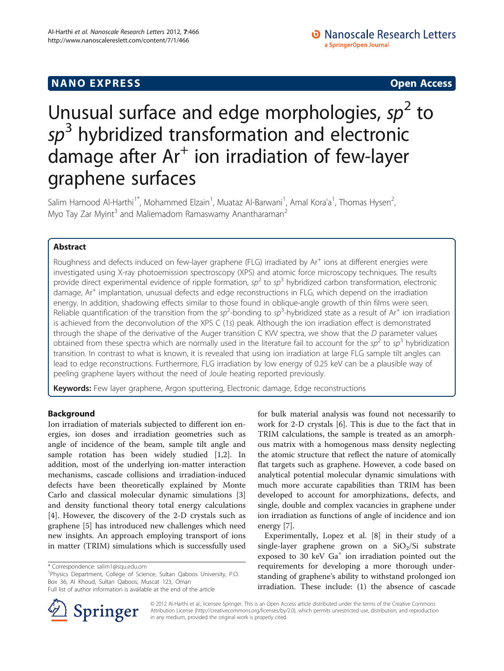## **NANO EXPRESS** Open Access **CONTROL**

# Unusual surface and edge morphologies,  $sp<sup>2</sup>$  to  $sp<sup>3</sup>$  hybridized transformation and electronic damage after  $Ar^+$  ion irradiation of few-layer graphene surfaces

Salim Hamood Al-Harthi<sup>1\*</sup>, Mohammed Elzain<sup>1</sup>, Muataz Al-Barwani<sup>1</sup>, Amal Kora'a<sup>1</sup>, Thomas Hysen<sup>2</sup> , Myo Tay Zar Myint<sup>3</sup> and Maliemadom Ramaswamy Anantharaman<sup>2</sup>

## Abstract

Roughness and defects induced on few-layer graphene (FLG) irradiated by  $Ar<sup>+</sup>$  ions at different energies were investigated using X-ray photoemission spectroscopy (XPS) and atomic force microscopy techniques. The results provide direct experimental evidence of ripple formation,  $sp^2$  to  $sp^3$  hybridized carbon transformation, electronic damage, Ar<sup>+</sup> implantation, unusual defects and edge reconstructions in FLG, which depend on the irradiation energy. In addition, shadowing effects similar to those found in oblique-angle growth of thin films were seen. Reliable quantification of the transition from the sp<sup>2</sup>-bonding to sp<sup>3</sup>-hybridized state as a result of Ar<sup>+</sup> ion irradiation is achieved from the deconvolution of the XPS C (1s) peak. Although the ion irradiation effect is demonstrated through the shape of the derivative of the Auger transition C KVV spectra, we show that the D parameter values obtained from these spectra which are normally used in the literature fail to account for the  $sp^2$  to  $sp^3$  hybridization transition. In contrast to what is known, it is revealed that using ion irradiation at large FLG sample tilt angles can lead to edge reconstructions. Furthermore, FLG irradiation by low energy of 0.25 keV can be a plausible way of peeling graphene layers without the need of Joule heating reported previously.

Keywords: Few layer graphene, Argon sputtering, Electronic damage, Edge reconstructions

## Background

Ion irradiation of materials subjected to different ion energies, ion doses and irradiation geometries such as angle of incidence of the beam, sample tilt angle and sample rotation has been widely studied [[1,2\]](#page-9-0). In addition, most of the underlying ion-matter interaction mechanisms, cascade collisions and irradiation-induced defects have been theoretically explained by Monte Carlo and classical molecular dynamic simulations [\[3](#page-9-0)] and density functional theory total energy calculations [[4\]](#page-9-0). However, the discovery of the 2-D crystals such as graphene [[5\]](#page-9-0) has introduced new challenges which need new insights. An approach employing transport of ions in matter (TRIM) simulations which is successfully used

<sup>1</sup>Physics Department, College of Science, Sultan Qaboos University, P.O. Box 36, Al Khoud, Sultan Qaboos, Muscat 123, Oman Full list of author information is available at the end of the article

for bulk material analysis was found not necessarily to work for 2-D crystals [\[6](#page-9-0)]. This is due to the fact that in TRIM calculations, the sample is treated as an amorphous matrix with a homogenous mass density neglecting the atomic structure that reflect the nature of atomically flat targets such as graphene. However, a code based on analytical potential molecular dynamic simulations with much more accurate capabilities than TRIM has been developed to account for amorphizations, defects, and single, double and complex vacancies in graphene under ion irradiation as functions of angle of incidence and ion energy [[7\]](#page-9-0).

Experimentally, Lopez et al. [\[8](#page-9-0)] in their study of a single-layer graphene grown on a  $SiO<sub>2</sub>/Si$  substrate exposed to 30 keV  $Ga<sup>+</sup>$  ion irradiation pointed out the requirements for developing a more thorough understanding of graphene's ability to withstand prolonged ion irradiation. These include: (1) the absence of cascade

© 2012 Al-Harthi et al.; licensee Springer. This is an Open Access article distributed under the terms of the Creative Commons Attribution License [\(http://creativecommons.org/licenses/by/2.0\)](http://creativecommons.org/licenses/by/2.0), which permits unrestricted use, distribution, and reproduction in any medium, provided the original work is properly cited.

<sup>\*</sup> Correspondence: [salim1@squ.edu.om](mailto:salim1@squ.edu.om) <sup>1</sup>

Springer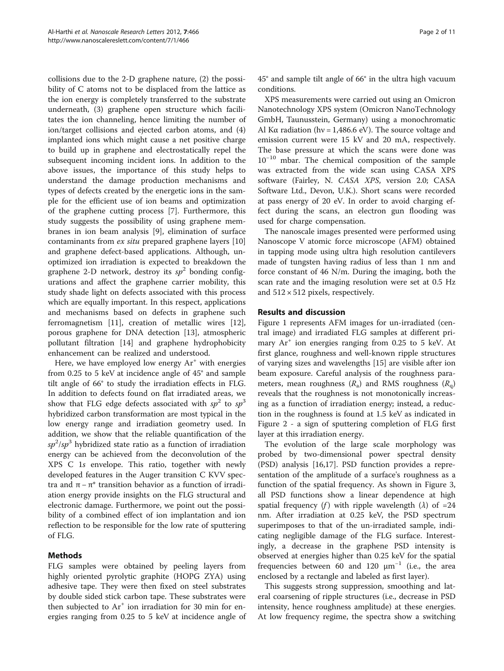collisions due to the 2-D graphene nature, (2) the possibility of C atoms not to be displaced from the lattice as the ion energy is completely transferred to the substrate underneath, (3) graphene open structure which facilitates the ion channeling, hence limiting the number of ion/target collisions and ejected carbon atoms, and (4) implanted ions which might cause a net positive charge to build up in graphene and electrostatically repel the subsequent incoming incident ions. In addition to the above issues, the importance of this study helps to understand the damage production mechanisms and types of defects created by the energetic ions in the sample for the efficient use of ion beams and optimization of the graphene cutting process [[7\]](#page-9-0). Furthermore, this study suggests the possibility of using graphene membranes in ion beam analysis [[9\]](#page-9-0), elimination of surface contaminants from ex situ prepared graphene layers [[10](#page-9-0)] and graphene defect-based applications. Although, unoptimized ion irradiation is expected to breakdown the graphene 2-D network, destroy its  $sp^2$  bonding configurations and affect the graphene carrier mobility, this study shade light on defects associated with this process which are equally important. In this respect, applications and mechanisms based on defects in graphene such ferromagnetism [[11\]](#page-9-0), creation of metallic wires [\[12](#page-10-0)], porous graphene for DNA detection [\[13](#page-10-0)], atmospheric pollutant filtration [[14\]](#page-10-0) and graphene hydrophobicity enhancement can be realized and understood.

Here, we have employed low energy  $Ar^+$  with energies from 0.25 to 5 keV at incidence angle of 45° and sample tilt angle of 66° to study the irradiation effects in FLG. In addition to defects found on flat irradiated areas, we show that FLG edge defects associated with  $sp^2$  to  $sp^3$ hybridized carbon transformation are most typical in the low energy range and irradiation geometry used. In addition, we show that the reliable quantification of the  $sp^2/sp^3$  hybridized state ratio as a function of irradiation energy can be achieved from the deconvolution of the XPS C 1s envelope. This ratio, together with newly developed features in the Auger transition C KVV spectra and  $\pi - \pi^*$  transition behavior as a function of irradiation energy provide insights on the FLG structural and electronic damage. Furthermore, we point out the possibility of a combined effect of ion implantation and ion reflection to be responsible for the low rate of sputtering of FLG.

## Methods

FLG samples were obtained by peeling layers from highly oriented pyrolytic graphite (HOPG ZYA) using adhesive tape. They were then fixed on steel substrates by double sided stick carbon tape. These substrates were then subjected to  $Ar^+$  ion irradiation for 30 min for energies ranging from 0.25 to 5 keV at incidence angle of 45° and sample tilt angle of 66° in the ultra high vacuum conditions.

XPS measurements were carried out using an Omicron Nanotechnology XPS system (Omicron NanoTechnology GmbH, Taunusstein, Germany) using a monochromatic Al K $\alpha$  radiation (hv = 1,486.6 eV). The source voltage and emission current were 15 kV and 20 mA, respectively. The base pressure at which the scans were done was 10−<sup>10</sup> mbar. The chemical composition of the sample was extracted from the wide scan using CASA XPS software (Fairley, N. CASA XPS, version 2.0; CASA Software Ltd., Devon, U.K.). Short scans were recorded at pass energy of 20 eV. In order to avoid charging effect during the scans, an electron gun flooding was used for charge compensation.

The nanoscale images presented were performed using Nanoscope V atomic force microscope (AFM) obtained in tapping mode using ultra high resolution cantilevers made of tungsten having radius of less than 1 nm and force constant of 46 N/m. During the imaging, both the scan rate and the imaging resolution were set at 0.5 Hz and  $512 \times 512$  pixels, respectively.

### Results and discussion

Figure [1](#page-2-0) represents AFM images for un-irradiated (central image) and irradiated FLG samples at different primary  $Ar^+$  ion energies ranging from 0.25 to 5 keV. At first glance, roughness and well-known ripple structures of varying sizes and wavelengths [\[15\]](#page-10-0) are visible after ion beam exposure. Careful analysis of the roughness parameters, mean roughness  $(R_a)$  and RMS roughness  $(R_a)$ reveals that the roughness is not monotonically increasing as a function of irradiation energy; instead, a reduction in the roughness is found at 1.5 keV as indicated in Figure [2](#page-2-0) - a sign of sputtering completion of FLG first layer at this irradiation energy.

The evolution of the large scale morphology was probed by two-dimensional power spectral density (PSD) analysis [[16,17](#page-10-0)]. PSD function provides a representation of the amplitude of a surface's roughness as a function of the spatial frequency. As shown in Figure [3](#page-3-0), all PSD functions show a linear dependence at high spatial frequency (f) with ripple wavelength ( $\lambda$ ) of =24 nm. After irradiation at 0.25 keV, the PSD spectrum superimposes to that of the un-irradiated sample, indicating negligible damage of the FLG surface. Interestingly, a decrease in the graphene PSD intensity is observed at energies higher than 0.25 keV for the spatial frequencies between 60 and 120  $\mu$ m<sup>-1</sup> (i.e., the area enclosed by a rectangle and labeled as first layer).

This suggests strong suppression, smoothing and lateral coarsening of ripple structures (i.e., decrease in PSD intensity, hence roughness amplitude) at these energies. At low frequency regime, the spectra show a switching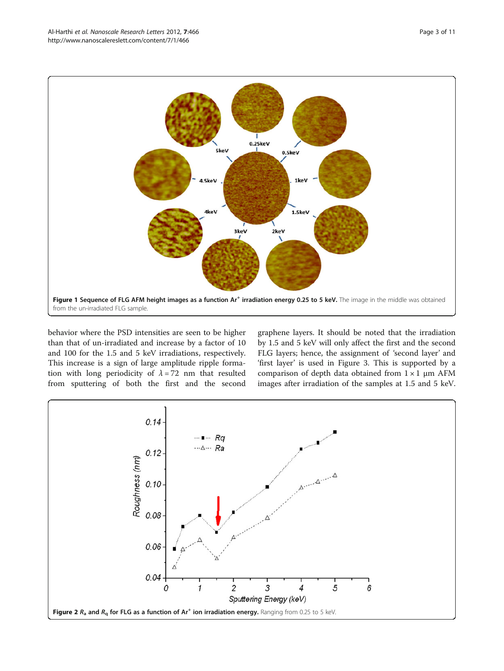<span id="page-2-0"></span>

behavior where the PSD intensities are seen to be higher than that of un-irradiated and increase by a factor of 10 and 100 for the 1.5 and 5 keV irradiations, respectively. This increase is a sign of large amplitude ripple formation with long periodicity of  $\lambda = 72$  nm that resulted from sputtering of both the first and the second graphene layers. It should be noted that the irradiation by 1.5 and 5 keV will only affect the first and the second FLG layers; hence, the assignment of 'second layer' and 'first layer' is used in Figure [3.](#page-3-0) This is supported by a comparison of depth data obtained from  $1 \times 1$  µm AFM images after irradiation of the samples at 1.5 and 5 keV.

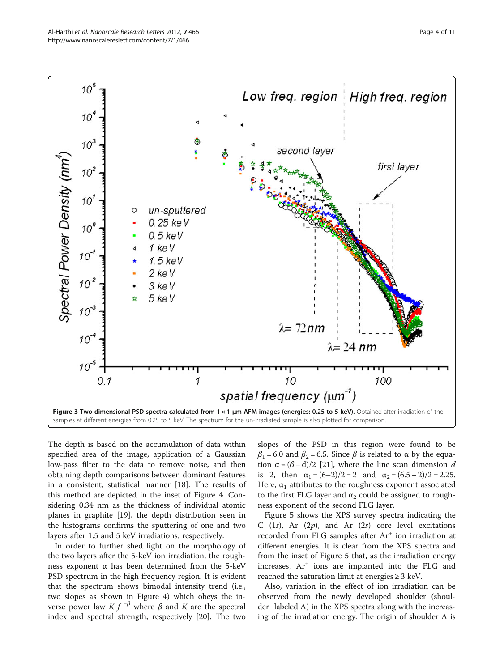<span id="page-3-0"></span>

The depth is based on the accumulation of data within specified area of the image, application of a Gaussian low-pass filter to the data to remove noise, and then obtaining depth comparisons between dominant features in a consistent, statistical manner [[18\]](#page-10-0). The results of this method are depicted in the inset of Figure [4.](#page-4-0) Considering 0.34 nm as the thickness of individual atomic planes in graphite [[19](#page-10-0)], the depth distribution seen in the histograms confirms the sputtering of one and two layers after 1.5 and 5 keV irradiations, respectively.

In order to further shed light on the morphology of the two layers after the 5-keV ion irradiation, the roughness exponent  $α$  has been determined from the 5-keV PSD spectrum in the high frequency region. It is evident that the spectrum shows bimodal intensity trend (i.e., two slopes as shown in Figure [4](#page-4-0)) which obeys the inverse power law  $K f^{-\beta}$  where  $\beta$  and K are the spectral index and spectral strength, respectively [\[20\]](#page-10-0). The two

slopes of the PSD in this region were found to be  $β<sub>1</sub> = 6.0$  and  $β<sub>2</sub> = 6.5$ . Since  $β$  is related to α by the equation  $α = (β - d)/2$  [[21\]](#page-10-0), where the line scan dimension d is 2, then  $\alpha_1 = (6-2)/2 = 2$  and  $\alpha_2 = (6.5 - 2)/2 = 2.25$ . Here,  $\alpha_1$  attributes to the roughness exponent associated to the first FLG layer and  $\alpha_2$  could be assigned to roughness exponent of the second FLG layer.

Figure [5](#page-5-0) shows the XPS survey spectra indicating the C  $(1s)$ , Ar  $(2p)$ , and Ar  $(2s)$  core level excitations recorded from FLG samples after Ar<sup>+</sup> ion irradiation at different energies. It is clear from the XPS spectra and from the inset of Figure [5](#page-5-0) that, as the irradiation energy increases, Ar<sup>+</sup> ions are implanted into the FLG and reached the saturation limit at energies  $\geq 3$  keV.

Also, variation in the effect of ion irradiation can be observed from the newly developed shoulder (shoulder labeled A) in the XPS spectra along with the increasing of the irradiation energy. The origin of shoulder A is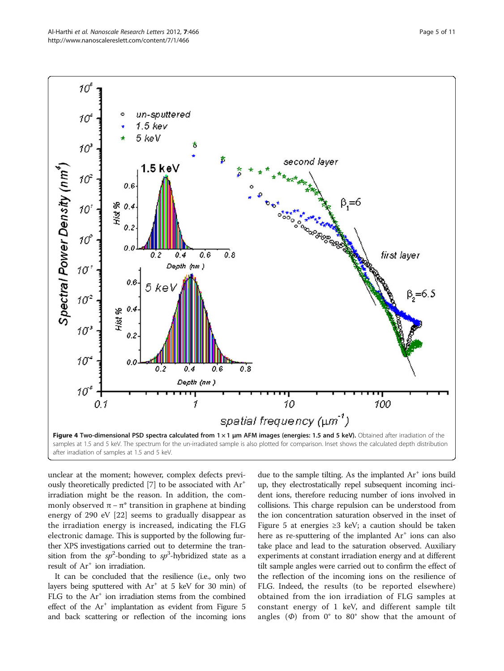<span id="page-4-0"></span>

unclear at the moment; however, complex defects previ-ously theoretically predicted [\[7](#page-9-0)] to be associated with Ar<sup>+</sup> irradiation might be the reason. In addition, the commonly observed  $\pi - \pi^*$  transition in graphene at binding energy of 290 eV [[22\]](#page-10-0) seems to gradually disappear as the irradiation energy is increased, indicating the FLG electronic damage. This is supported by the following further XPS investigations carried out to determine the transition from the  $sp^2$ -bonding to  $sp^3$ -hybridized state as a result of Ar<sup>+</sup> ion irradiation.

It can be concluded that the resilience (i.e., only two layers being sputtered with  $Ar^+$  at 5 keV for 30 min) of FLG to the  $Ar^+$  ion irradiation stems from the combined effect of the  $Ar^+$  implantation as evident from Figure [5](#page-5-0) and back scattering or reflection of the incoming ions due to the sample tilting. As the implanted  $Ar^+$  ions build up, they electrostatically repel subsequent incoming incident ions, therefore reducing number of ions involved in collisions. This charge repulsion can be understood from the ion concentration saturation observed in the inset of Figure [5](#page-5-0) at energies  $\geq$ 3 keV; a caution should be taken here as re-sputtering of the implanted  $Ar^+$  ions can also take place and lead to the saturation observed. Auxiliary experiments at constant irradiation energy and at different tilt sample angles were carried out to confirm the effect of the reflection of the incoming ions on the resilience of FLG. Indeed, the results (to be reported elsewhere) obtained from the ion irradiation of FLG samples at constant energy of 1 keV, and different sample tilt angles  $(\Phi)$  from 0° to 80° show that the amount of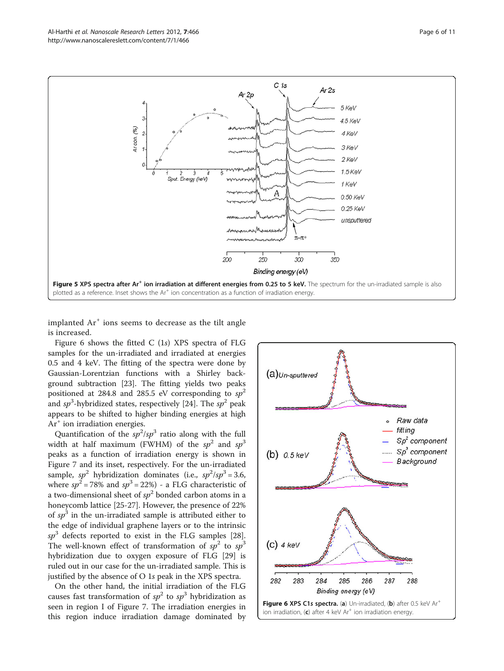<span id="page-5-0"></span>

implanted  $Ar^+$  ions seems to decrease as the tilt angle is increased.

Figure 6 shows the fitted C (1s) XPS spectra of FLG samples for the un-irradiated and irradiated at energies 0.5 and 4 keV. The fitting of the spectra were done by Gaussian-Lorentzian functions with a Shirley background subtraction [\[23](#page-10-0)]. The fitting yields two peaks positioned at 284.8 and 285.5 eV corresponding to  $sp^2$ and  $sp^3$ -hybridized states, respectively [[24](#page-10-0)]. The  $sp^2$  peak appears to be shifted to higher binding energies at high Ar<sup>+</sup> ion irradiation energies.

Quantification of the  $sp^2/sp^3$  ratio along with the full width at half maximum (FWHM) of the  $sp^2$  and  $sp^3$ peaks as a function of irradiation energy is shown in Figure [7](#page-6-0) and its inset, respectively. For the un-irradiated sample,  $sp^2$  hybridization dominates (i.e.,  $sp^2/sp^3 = 3.6$ , where  $sp^2 = 78\%$  and  $sp^3 = 22\%)$  - a FLG characteristic of a two-dimensional sheet of  $sp^2$  bonded carbon atoms in a honeycomb lattice [\[25](#page-10-0)-[27\]](#page-10-0). However, the presence of 22% of  $sp^3$  in the un-irradiated sample is attributed either to the edge of individual graphene layers or to the intrinsic  $sp<sup>3</sup>$  defects reported to exist in the FLG samples [\[28](#page-10-0)]. The well-known effect of transformation of  $sp^2$  to  $sp^3$ hybridization due to oxygen exposure of FLG [[29\]](#page-10-0) is ruled out in our case for the un-irradiated sample. This is justified by the absence of O 1s peak in the XPS spectra.

On the other hand, the initial irradiation of the FLG causes fast transformation of  $sp^2$  to  $sp^3$  hybridization as seen in region I of Figure [7](#page-6-0). The irradiation energies in this region induce irradiation damage dominated by

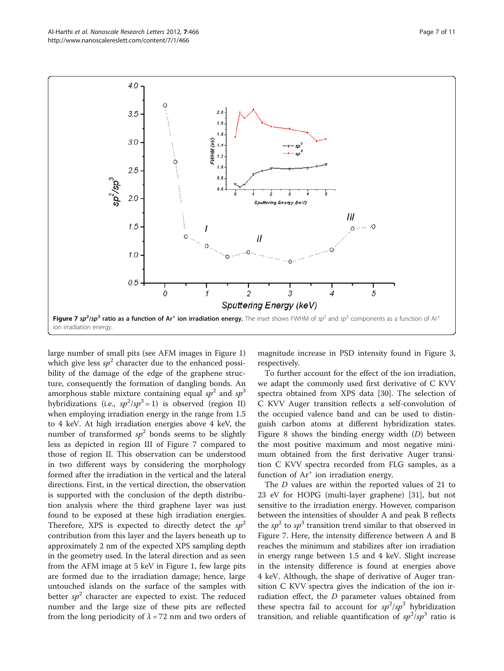<span id="page-6-0"></span>

large number of small pits (see AFM images in Figure [1](#page-2-0)) which give less  $sp^2$  character due to the enhanced possibility of the damage of the edge of the graphene structure, consequently the formation of dangling bonds. An amorphous stable mixture containing equal  $sp^2$  and  $sp^3$ hybridizations (i.e.,  $sp^2/sp^3=1$ ) is observed (region II) when employing irradiation energy in the range from 1.5 to 4 keV. At high irradiation energies above 4 keV, the number of transformed  $sp^2$  bonds seems to be slightly less as depicted in region III of Figure 7 compared to those of region II. This observation can be understood in two different ways by considering the morphology formed after the irradiation in the vertical and the lateral directions. First, in the vertical direction, the observation is supported with the conclusion of the depth distribution analysis where the third graphene layer was just found to be exposed at these high irradiation energies. Therefore, XPS is expected to directly detect the  $sp^2$ contribution from this layer and the layers beneath up to approximately 2 nm of the expected XPS sampling depth in the geometry used. In the lateral direction and as seen from the AFM image at 5 keV in Figure [1](#page-2-0), few large pits are formed due to the irradiation damage; hence, large untouched islands on the surface of the samples with better  $sp^2$  character are expected to exist. The reduced number and the large size of these pits are reflected from the long periodicity of  $\lambda$  = 72 nm and two orders of

magnitude increase in PSD intensity found in Figure [3](#page-3-0), respectively.

To further account for the effect of the ion irradiation, we adapt the commonly used first derivative of C KVV spectra obtained from XPS data [[30](#page-10-0)]. The selection of C KVV Auger transition reflects a self-convolution of the occupied valence band and can be used to distinguish carbon atoms at different hybridization states. Figure [8](#page-7-0) shows the binding energy width (D) between the most positive maximum and most negative minimum obtained from the first derivative Auger transition C KVV spectra recorded from FLG samples, as a function of  $Ar^+$  ion irradiation energy.

The D values are within the reported values of 21 to 23 eV for HOPG (multi-layer graphene) [\[31](#page-10-0)], but not sensitive to the irradiation energy. However, comparison between the intensities of shoulder A and peak B reflects the  $sp^2$  to  $sp^3$  transition trend similar to that observed in Figure 7. Here, the intensity difference between A and B reaches the minimum and stabilizes after ion irradiation in energy range between 1.5 and 4 keV. Slight increase in the intensity difference is found at energies above 4 keV. Although, the shape of derivative of Auger transition C KVV spectra gives the indication of the ion irradiation effect, the  $D$  parameter values obtained from these spectra fail to account for  $sp^2/sp^3$  hybridization transition, and reliable quantification of  $sp^2/sp^3$  ratio is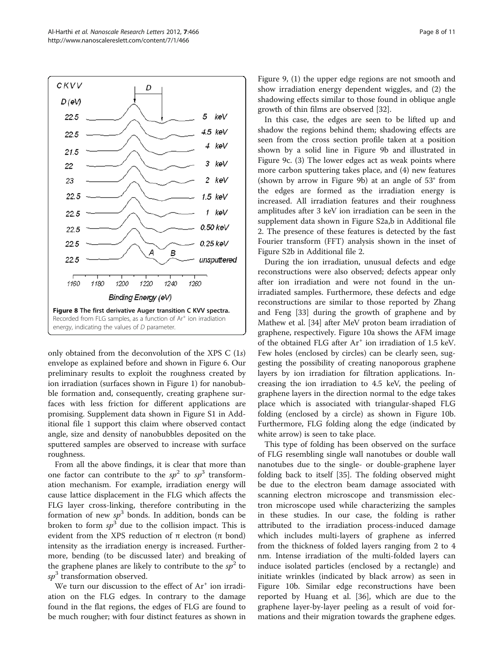<span id="page-7-0"></span>

only obtained from the deconvolution of the XPS C (1s) envelope as explained before and shown in Figure [6.](#page-5-0) Our preliminary results to exploit the roughness created by ion irradiation (surfaces shown in Figure [1\)](#page-2-0) for nanobubble formation and, consequently, creating graphene surfaces with less friction for different applications are promising. Supplement data shown in Figure S1 in Additional file [1](#page-9-0) support this claim where observed contact angle, size and density of nanobubbles deposited on the sputtered samples are observed to increase with surface roughness.

From all the above findings, it is clear that more than one factor can contribute to the  $sp^2$  to  $sp^3$  transformation mechanism. For example, irradiation energy will cause lattice displacement in the FLG which affects the FLG layer cross-linking, therefore contributing in the formation of new  $sp^3$  bonds. In addition, bonds can be broken to form  $sp^3$  due to the collision impact. This is evident from the XPS reduction of π electron (π bond) intensity as the irradiation energy is increased. Furthermore, bending (to be discussed later) and breaking of the graphene planes are likely to contribute to the  $sp<sup>2</sup>$  to  $sp<sup>3</sup>$  transformation observed.

We turn our discussion to the effect of  $Ar^+$  ion irradiation on the FLG edges. In contrary to the damage found in the flat regions, the edges of FLG are found to be much rougher; with four distinct features as shown in

Figure [9,](#page-8-0) (1) the upper edge regions are not smooth and show irradiation energy dependent wiggles, and (2) the shadowing effects similar to those found in oblique angle growth of thin films are observed [[32\]](#page-10-0).

In this case, the edges are seen to be lifted up and shadow the regions behind them; shadowing effects are seen from the cross section profile taken at a position shown by a solid line in Figure [9b](#page-8-0) and illustrated in Figure [9c](#page-8-0). (3) The lower edges act as weak points where more carbon sputtering takes place, and (4) new features (shown by arrow in Figure [9b\)](#page-8-0) at an angle of 53° from the edges are formed as the irradiation energy is increased. All irradiation features and their roughness amplitudes after 3 keV ion irradiation can be seen in the supplement data shown in Figure S2a,b in Additional file [2.](#page-9-0) The presence of these features is detected by the fast Fourier transform (FFT) analysis shown in the inset of Figure S2b in Additional file [2.](#page-9-0)

During the ion irradiation, unusual defects and edge reconstructions were also observed; defects appear only after ion irradiation and were not found in the unirradiated samples. Furthermore, these defects and edge reconstructions are similar to those reported by Zhang and Feng [\[33](#page-10-0)] during the growth of graphene and by Mathew et al. [\[34](#page-10-0)] after MeV proton beam irradiation of graphene, respectively. Figure [10a](#page-8-0) shows the AFM image of the obtained FLG after  $Ar^+$  ion irradiation of 1.5 keV. Few holes (enclosed by circles) can be clearly seen, suggesting the possibility of creating nanoporous graphene layers by ion irradiation for filtration applications. Increasing the ion irradiation to 4.5 keV, the peeling of graphene layers in the direction normal to the edge takes place which is associated with triangular-shaped FLG folding (enclosed by a circle) as shown in Figure [10b](#page-8-0). Furthermore, FLG folding along the edge (indicated by white arrow) is seen to take place.

This type of folding has been observed on the surface of FLG resembling single wall nanotubes or double wall nanotubes due to the single- or double-graphene layer folding back to itself [[35](#page-10-0)]. The folding observed might be due to the electron beam damage associated with scanning electron microscope and transmission electron microscope used while characterizing the samples in these studies. In our case, the folding is rather attributed to the irradiation process-induced damage which includes multi-layers of graphene as inferred from the thickness of folded layers ranging from 2 to 4 nm. Intense irradiation of the multi-folded layers can induce isolated particles (enclosed by a rectangle) and initiate wrinkles (indicated by black arrow) as seen in Figure [10b](#page-8-0). Similar edge reconstructions have been reported by Huang et al. [\[36](#page-10-0)], which are due to the graphene layer-by-layer peeling as a result of void formations and their migration towards the graphene edges.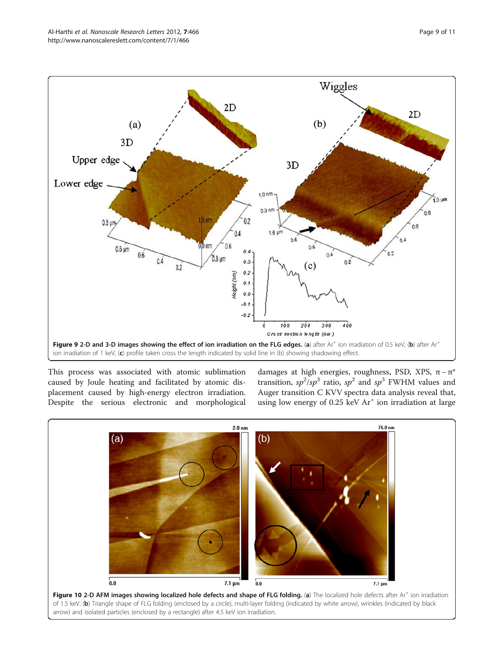<span id="page-8-0"></span>

This process was associated with atomic sublimation caused by Joule heating and facilitated by atomic displacement caused by high-energy electron irradiation. Despite the serious electronic and morphological damages at high energies, roughness, PSD, XPS,  $\pi - \pi^*$ transition,  $sp^2/sp^3$  ratio,  $sp^2$  and  $sp^3$  FWHM values and Auger transition C KVV spectra data analysis reveal that, using low energy of 0.25 keV  $Ar^+$  ion irradiation at large

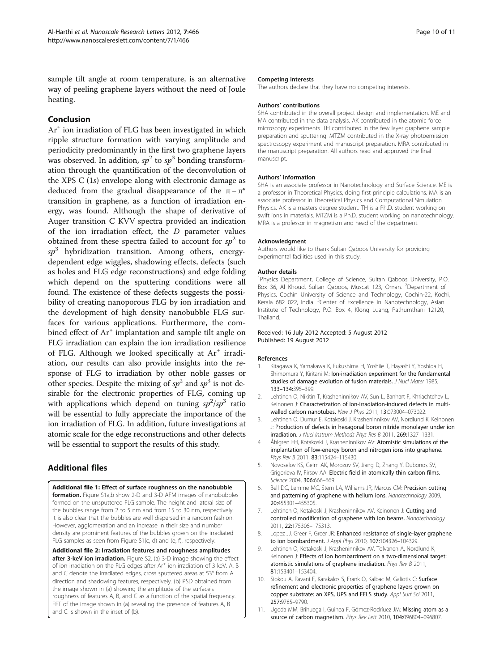<span id="page-9-0"></span>sample tilt angle at room temperature, is an alternative way of peeling graphene layers without the need of Joule heating.

## Conclusion

Ar<sup>+</sup> ion irradiation of FLG has been investigated in which ripple structure formation with varying amplitude and periodicity predominantly in the first two graphene layers was observed. In addition,  $sp^2$  to  $sp^3$  bonding transformation through the quantification of the deconvolution of the XPS C (1s) envelope along with electronic damage as deduced from the gradual disappearance of the  $\pi - \pi^*$ transition in graphene, as a function of irradiation energy, was found. Although the shape of derivative of Auger transition C KVV spectra provided an indication of the ion irradiation effect, the  $D$  parameter values obtained from these spectra failed to account for  $sp^2$  to  $sp<sup>3</sup>$  hybridization transition. Among others, energydependent edge wiggles, shadowing effects, defects (such as holes and FLG edge reconstructions) and edge folding which depend on the sputtering conditions were all found. The existence of these defects suggests the possibility of creating nanoporous FLG by ion irradiation and the development of high density nanobubble FLG surfaces for various applications. Furthermore, the combined effect of  $Ar^+$  implantation and sample tilt angle on FLG irradiation can explain the ion irradiation resilience of FLG. Although we looked specifically at  $Ar^+$  irradiation, our results can also provide insights into the response of FLG to irradiation by other noble gasses or other species. Despite the mixing of  $sp^2$  and  $sp^3$  is not desirable for the electronic properties of FLG, coming up with applications which depend on tuning  $sp^2/sp^3$  ratio will be essential to fully appreciate the importance of the ion irradiation of FLG. In addition, future investigations at atomic scale for the edge reconstructions and other defects will be essential to support the results of this study.

## Additional files

[Additional file 1:](http://www.biomedcentral.com/content/supplementary/1556-276X-7-466-S1.doc) Effect of surface roughness on the nanobubble **formation.** Figure S1a,b show 2-D and 3-D AFM images of nanobubbles formed on the unsputtered FLG sample. The height and lateral size of the bubbles range from 2 to 5 nm and from 15 to 30 nm, respectively. It is also clear that the bubbles are well dispersed in a random fashion. However, agglomeration and an increase in their size and number density are prominent features of the bubbles grown on the irradiated FLG samples as seen from Figure S1(c, d) and (e, f), respectively.

[Additional file 2:](http://www.biomedcentral.com/content/supplementary/1556-276X-7-466-S2.doc) Irradiation features and roughness amplitudes after 3-keV ion irradiation. Figure S2. (a) 3-D image showing the effect of ion irradiation on the FLG edges after  $Ar^+$  ion irradiation of 3 keV. A, B and C denote the irradiated edges, cross sputtered areas at 53° from A direction and shadowing features, respectively. (b) PSD obtained from the image shown in (a) showing the amplitude of the surface's roughness of features A, B, and C as a function of the spatial frequency. FFT of the image shown in (a) revealing the presence of features A, B and C is shown in the inset of (b).

#### Competing interests

The authors declare that they have no competing interests.

#### Authors' contributions

SHA contributed in the overall project design and implementation. ME and MA contributed in the data analysis. AK contributed in the atomic force microscopy experiments. TH contributed in the few layer graphene sample preparation and sputtering. MTZM contributed in the X-ray photoemission spectroscopy experiment and manuscript preparation. MRA contributed in the manuscript preparation. All authors read and approved the final manuscript.

#### Authors' information

SHA is an associate professor in Nanotechnology and Surface Science. ME is a professor in Theoretical Physics, doing first principle calculations. MA is an associate professor in Theoretical Physics and Computational Simulation Physics. AK is a masters degree student. TH is a Ph.D. student working on swift ions in materials. MTZM is a Ph.D. student working on nanotechnology. MRA is a professor in magnetism and head of the department.

#### Acknowledgment

Authors would like to thank Sultan Qaboos University for providing experimental facilities used in this study.

#### Author details

<sup>1</sup>Physics Department, College of Science, Sultan Qaboos University, P.O. Box 36, Al Khoud, Sultan Qaboos, Muscat 123, Oman. <sup>2</sup>Department of Physics, Cochin University of Science and Technology, Cochin-22, Kochi, Kerala 682 022, India. <sup>3</sup>Center of Excellence in Nanotechnology, Asian Institute of Technology, P.O. Box 4, Klong Luang, Pathumthani 12120, Thailand.

#### Received: 16 July 2012 Accepted: 5 August 2012 Published: 19 August 2012

#### References

- Kitagawa K, Yamakawa K, Fukushima H, Yoshiie T, Hayashi Y, Yoshida H, Shimomura Y, Kiritani M: Ion-irradiation experiment for the fundamental studies of damage evolution of fusion materials. J Nucl Mater 1985, 133–134:395–399.
- 2. Lehtinen O, Nikitin T, Krasheninnikov AV, Sun L, Banhart F, Khriachtchev L, Keinonen J: Characterization of ion-irradiation-induced defects in multiwalled carbon nanotubes. New J Phys 2011, 13:073004–073022.
- 3. Lehtinen O, Dumur E, Kotakoski J, Krasheninnikov AV, Nordlund K, Keinonen J: Production of defects in hexagonal boron nitride monolayer under ion irradiation. J Nucl Instrum Methods Phys Res B 2011, 269:1327–1331.
- Åhlgren EH, Kotakoski J, Krasheninnikov AV: Atomistic simulations of the implantation of low-energy boron and nitrogen ions into graphene. Phys Rev B 2011, 83:115424-115430.
- 5. Novoselov KS, Geim AK, Morozov SV, Jiang D, Zhang Y, Dubonos SV, Grigorieva IV, Firsov AA: Electric field in atomically thin carbon films. Science 2004, 306:666-669.
- 6. Bell DC, Lemme MC, Stern LA, Williams JR, Marcus CM: Precision cutting and patterning of graphene with helium ions. Nanotechnology 2009, 20:455301–455305.
- 7. Lehtinen O, Kotakoski J, Krasheninnikov AV, Keinonen J: Cutting and controlled modification of graphene with ion beams. Nanotechnology 2011, 22:175306–175313.
- 8. Lopez JJ, Greer F, Greer JR: Enhanced resistance of single-layer graphene to ion bombardment. J Appl Phys 2010, 107:104326-104329
- 9. Lehtinen O, Kotakoski J, Krasheninnikov AV, Tolvanen A, Nordlund K, Keinonen J: Effects of ion bombardment on a two-dimensional target: atomistic simulations of graphene irradiation. Phys Rev B 2011, 81:153401–153404.
- 10. Siokou A, Ravani F, Karakalos S, Frank O, Kalbac M, Galiotis C: Surface refinement and electronic properties of graphene layers grown on copper substrate: an XPS, UPS and EELS study. Appl Surf Sci 2011, 257:9785–9790.
- 11. Ugeda MM, Brihuega I, Guinea F, Gómez-Rodríuez JM: Missing atom as a source of carbon magnetism. Phys Rev Lett 2010, 104:096804–096807.